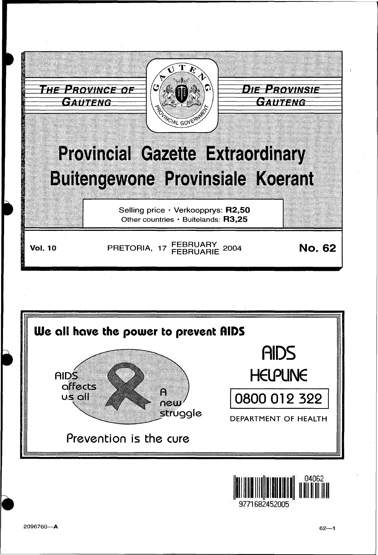



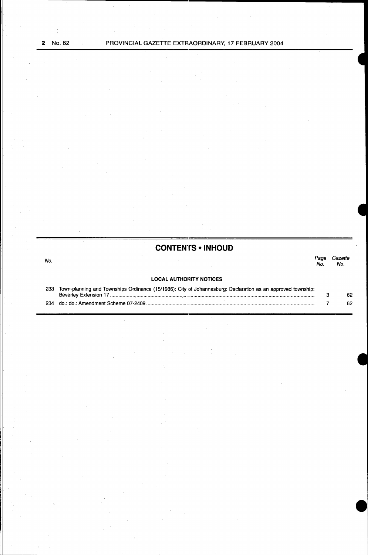No.

## **CONTENTS • INHOUD**

# Page Gazette No. No.

## **LOCAL AUTHORITY NOTICES**

| 233 | Town-planning and Townships Ordinance (15/1986): City of Johannesburg: Declaration as an approved township: |    |
|-----|-------------------------------------------------------------------------------------------------------------|----|
|     |                                                                                                             | 62 |
|     |                                                                                                             |    |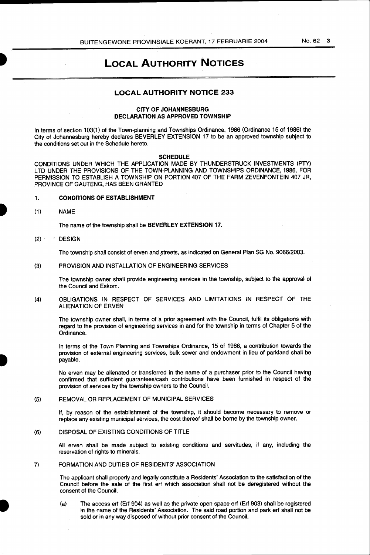## LOCAL AUTHORITY NOTICES

## LOCAL AUTHORITY NOTICE 233

## CITY OF JOHANNESBURG DECLARATION AS APPROVED TOWNSHIP

In terms of section 103(1) of the Town-planning and Townships Ordinance, 1986 (Ordinance 15 of 1986) the City of Johannesburg hereby deClares BEVERLEY EXTENSION 17 to be an approved township subject to the conditions set out in the Schedule hereto.

#### SCHEDULE

CONDITIONS UNDER WHICH THE APPLICATION MADE BY THUNDERSTRUCK INVESTMENTS (PTY) LTD UNDER THE PROVISIONS OF THE TOWN-PLANNING AND TOWNSHIPS ORDINANCE, 1986, FOR PERMISSION TO ESTABLISH A TOWNSHIP ON PORTION 407 OF THE FARM ZEVENFONTEIN 407 JR, PROVINCE OF GAUTENG, HAS BEEN GRANTED

#### 1. CONDITIONS OF ESTABLISHMENT

(1) NAME

The name of the township shall be BEVERLEY EXTENSION 17.

#### (2) DESIGN

I

The township shall consist of erven and streets, as indicated on General Plan SG No. 9066/2003.

## (3) PROVISION AND INSTALLATION OF ENGINEERING SERVICES

The township owner shall provide engineering services in the township, subject to the approval of the Council and Eskom.

(4) OBLIGATIONS IN RESPECT OF SERVICES AND LIMITATIONS IN RESPECT OF THE ALIENATION OF ERVEN

The township owner shall, in terms of a prior agreement with the Council, fulfil its obligations with regard to the provision of engineering services in and for the township in terms of Chapter 5 of the Ordinance.

In terms of the Town Planning and Townships Ordinance, 15 of 1986, a contribution towards the provision of external engineering services, bulk sewer and endowment in lieu of parkland shall be payable.

No erven may be alienated or transferred in the name of a purchaser prior to the Council having confirmed that sufficient guarantees/cash contributions have been furnished in respect of the provision of services by the township owners to the Council.

#### (5) REMOVAL OR REPLACEMENT OF MUNICIPAL SERVICES

If, by reason of the establishment of the township, it should become necessary to remove or replace any existing municipal services, the cost thereof shall be borne by the township owner.

## (6) DISPOSAL OF EXISTING CONDITIONS OF TITLE

All erven shall be made subject to existing conditions and servitudes, if any, including the reservation of rights to minerals.

#### 7) FORMATION AND DUTIES OF RESIDENTS' ASSOCIATION

The applicant shall properly and legally constitute a Residents' Association to the satisfaction of the Council before the sale of the first erf which association shall not be deregistered without the consent of the Council.

(a) The access erf (Erf 904) as well as the private open space erf (Erf 903) shall be registered in the name of the Residents' Association. The said road portion and park erf shall not be sold or in any way disposed of without prior consent of the Council.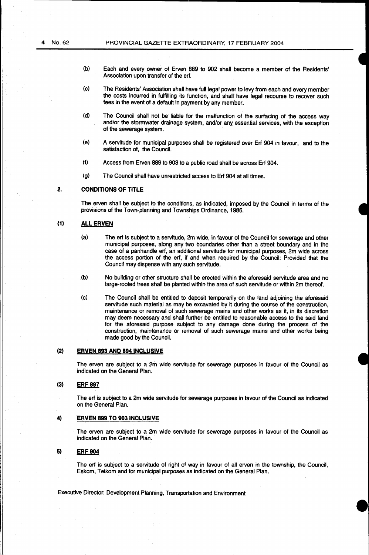- (b) Each and every owner of Erven 889 to 902 shall become a member of the Residents' Association upon transfer of the erf.
- (c) The Residents' Association shall have full legal power to levy from each and every member the costs incurred in fulfilling its function, and shall have legal recourse to recover such fees in the event of a default in payment by any member.
- (d) The Council shall not be liable for the malfunction of the surfacing of the access way and/or the stormwater drainage system, and/or any essential services, with the exception of the sewerage system.
- (e) A servitude for municipal purposes shall be registered over Erf 904 in favour, and to the satisfaction of, the Council.
- (f) Access from Erven 889 to 903 to a public road shall be across Erf 904.
- (g) The Council shall have unrestricted access to Erf 904 at all times.

#### **2. CONDITIONS OF TITLE**

The erven shall be subject to the conditions, as indicated, imposed by the Council in terms of the provisions of the Town-planning and Townships Ordinance, 1986.

## **(1) ALL ERVEN**

- $(a)$  The erf is subject to a servitude,  $2m$  wide, in favour of the Council for sewerage and other municipal purposes, along any two boundaries other than a street boundary and in the case of a panhandle erf, an additional servitude for municipal purposes, 2m wide across the access portion of the erf, if and when required by the Council: Provided that the Council may dispense with any such servitude.
- (b) No building or other structure shall be erected within the aforesaid servitude area and no large-rooted trees shall be plantecl within the area of such servitude or within 2m thereof.
- (c) The Council shall be entitled to deposit temporarily on the land adjoining the aforesaid servitude such material as may be excavated by it during the course of the construction, maintenance or removal of such sewerage mains and other works as it, in its discretion may deem necessary and shall further be entitled to reasonable access to the said land for the aforesaid purpose subject to any damage done during the process of the construction, maintenance or removal of such sewerage mains and other works being made good by the Council.

### (2) **ERVEN 893 AND 894 INCLUSIVE**

The erven are subject to a 2m wide servitude for sewerage purposes in favour of the Council as indicated on the General Plan.

#### **(3) ERF 897**

The erf is subject to a 2m wide servitude for sewerage purposes in favour of the Council as indicated on the General Plan.

## **4) ERVEN 899 TO 903 INCLUSIVE**

The erven are subject to a 2m wide servitude for sewerage purposes in favour of the Council as indicated on the General Plan.

#### **5) ERF904**

The erf is subject to a servitude of right of way in favour of all erven in the township, the Council, Eskom, Telkom and for municipal purposes as indicated on the General Plan.

Executive Director: Development Planning, Transportation and Environment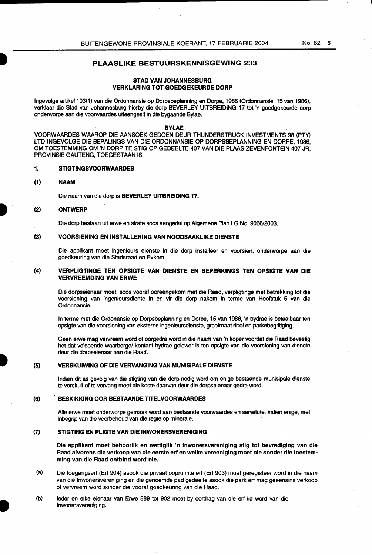## PLAASLIKE BESTUURSKENNISGEWING 233

## STAD VAN JOHANNESBURG **VERKLARING TOT GOEDGEKEURDE DORP**

Ingevolge artikel 103(1) van die Ordonnansie op Dorpsbeplanning en Dorpe, 1986 (Ordonnansie 15 van 1986), verklaar die Stad van Johannesburg hierby die dorp BEVERLEY UITBREIDING 17 tot 'n goedgekeurde dorp onderworpe aan die voorwaardes uiteengesit in die bygaande Bylae.

#### BYLAE

VOORWAARDES WAAROP DIE AANSOEK GEDOEN DEUR THUNDERSTRUCK INVESTMENTS 98 (PTY) LTD INGEVOLGE DIE BEPALINGS VAN DIE ORDONNANSIE OP DORPSBEPLANNING EN DORPE, 1986, OM TOESTEMMING OM 'N DORP TE STIG OP GEDEELTE 407 VAN DIE PLAAS ZEVENFONTEIN 407 JR, PROVINSIE GAUTENG, TOEGESTAAN IS

#### 1. STIGTINGSVOORWAARDES

#### (1) NAAM

I

Die naam van die dorp is BEVERLEY UITBREIDING 17.

#### (2) ONTWERP

Die dorp bestaan uit erwe en strate soos aangedui op Algemene Plan LG No. 9066/2003.

#### (3) VOORSIENING EN INSTALLERING VAN NOODSAAKLIKE DIENSTE

Die applikant moet ingenieurs dienste in die dorp installeer en voorsien, onderworpe aan die goedkeuring van die Stadsraad en Evkom.

#### (4) VERPLIGTINGE TEN OPSIGTE VAN DIENSTE EN BEPERKINGS TEN OPSIGTE VAN DIE VERVREEMDING VAN ERWE

Die dorpseienaar moet, soos vooraf ooreengekom met die Raad, verpligtinge met betrekking tot die voorsiening van ingenieursdiente in en vir die dorp nakom in terme van Hoofstuk 5 van die Ordonnansie.

In terme met die Ordonansie op Dorpsbeplanning en Dorpe, 15 van 1986, 'n bydrae is betaalbaar ten opsigte van die voorsiening van eksterne ingenieursdienste, grootrnaat riool en parkebegiftiging.

Geen erwe mag vervreem word of oorgedra word in die naam van 'n koper voordat die Raad bevestig het dat voldoende waarborge/ kontant bydrae gelewer is ten opsigte van die voorsiening van dienste deur die dorpseienaar aan die Raad.

#### (5) VERSKUIWING OF DIE VERVANGING VAN MUNISIPALE DIENSTE

lndien dit as gevolg van die stigting van die dorp nodig word om enige bestaande munisipale dienste te verskuif of te vervang moet die koste daarvan deur die dorpseienaar gedra word.

#### (6) BESKIKKING OOR BESTAANDE TITELVOORWAARDES

Aile erwe moet onderworpe gemaak word aan bestaande voorwaardes en serwitute, indian enige, met inbegrip van die voorbehoud van die regte op minerale.

## (7) STIGTING EN PLIGTE VAN DIE INWONERSVERENIGING

Die applikant moet behoorlik en wettiglik 'n inwonersvereniging stig tot bevrediging van die Raad alvorens die verkoop van die eerste erf en welke vereeniging moet nie sonder die toestemming van die Raad ontbind word nie.

- (a) Die toegangserf (Erf 904) asook die privaat oopruimte erf (Erf 903) moet geregisteer word in die naam van die lnwonersvereniging en die genoemde pad gedeelte asook die park erf mag geeensins verkoop of vervreem word sander die vooraf goedkeuring van die Raad.
- (b) Ieder en elke eienaar van Erwe 889 tot 902 moet by oordrag van die erf lid word van die lnwonersvereniging.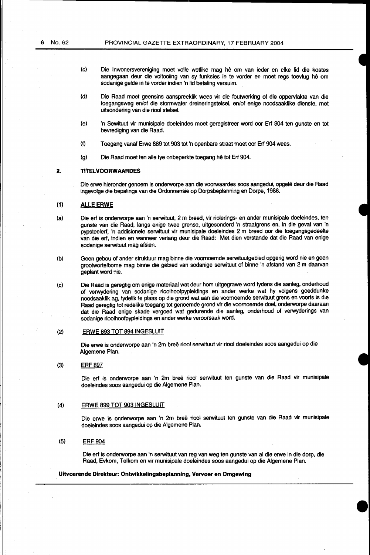- (c) Die lnwonersvereniging moet volle wetlike mag he om van ieder en elke lid die kostes aangegaan deur die voltooiing van sy funksies in te vorder en moet regs toevlug he om sodanige gelde in te vorder indien 'n lid betaling versuim.
- (d) Die Raad moet geensins aanspreeklik wees vir die foutwerking of die oppervlakte van die toegangsweg en/of die stormwater dreineringstelsel, en/of enige noodsaaklike dienste, met uitsondering van die riool stelsel.
- (e) 'n Sewituut vir munisipale doeleindes moet geregistreer word oor Erf 904 ten gunste en tot bevrediging van die Raad.
- (f) Toegang vanaf Erwe 889 tot 903 tot 'n openbare straat moet oor Erf 904 wees.
- (g) Die Raad moet ten aile tye onbeperkte toegang he tot Erf 904.

## **2. TITELVOORWAARDES**

Die erwe hieronder genoem is onderworpe aan die voorwaardes soos aangedui, opgele deur die Raad ingevolge die bepalings van die Ordonnansie op Dorpsbeplanning en Dorpe, 1986.

## **(1} ALLE ERWE**

- (a) Die erf is onderworpe aan 'n serwituut, 2 m breed, vir riolerings- en ander munisipale doeleindes, ten gunste van die Raad, langs enige twee grense, uitgesonderd 'n straatgrens en, in die geval van 'n pypsteelerf, 'n addisionele serwituut vir munisipale doeleindes 2 m breed oor die toegangsgedeelte van die erf, indien en wanneer verlang deur die Raad: Met dien verstande dat die Raad van enige sodanige serwituut mag afsien.
- (b) Geen gebou of ander struktuur mag binne die voornoemde serwituutgebied opgerig word nie en geen grootwortelbome mag binne die gebied van sodanige serwituut of binne 'n afstand van 2 m daarvan geplant word nie.
- (c) Die Raad is geregtig om enige materiaal wat deur hom uitgegrawe word tydens die aanleg, onderhoud of verwydering van sodanige rioolhootpypleidings en ander werke wat hy volgens goeddunke noodsaaklik ag, tydelik te plaas op die grond wat aan die voornoemde serwituut grens en voorts is die Raad geregtig tot redelike toegang tot genoemde grond vir die voomoemde doel, onderworpe daaraan dat die Raad enige skade vergoed wat gedurende die aanleg, onderhoud of verwyderings van sodanige rioolhoofpypleidings en ander werke veroorsaak word.

#### (2) ERWE 893 TOT 894 INGESLUIT

Die erwe is onderworpe aan 'n 2m bree riool serwituut vir riool doeleindes soos aangedui op die Algemene Plan.

#### (3) ERF897

Die erf is onderworpe aan 'n 2m breë riool serwituut ten gunste van die Raad vir munisipale doeleindes soos aangedui op die Algemene Plan.

#### (4) ERWE 899 TOT 903 INGESLUIT

Die erwe is onderworpe aan 'n 2m breë riool serwituut ten gunste van die Raad vir munisipale doeleindes soos aangedui op die Algemene Plan.

#### (5) ERF 904

Die ert is onderworpe aan 'n serwituut van reg van weg ten gunste van al die erwe in die dorp, die Raad, Evkom, Telkom en vir munisipale doeleindes soos aangedui op die Algemene Plan.

#### **Uitvoerende Direkteur: Ontwikkelingsbeplanning, Vervoer en Omgewing**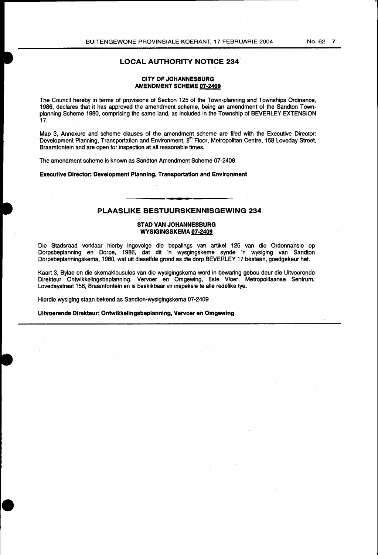## LOCAL AUTHORITY NOTICE 234

## CITY OF JOHANNESBURG AMENDMENT SCHEME 07-2409

The Council hereby in terms of provisions of Section 125 of the Town-planning and Townships Ordinance, 1986, declares that it has approved the amendment scheme, being an amendment of the Sandton Townplanning Scheme 1980, comprising the same land, as included in the Township of BEVERLEY EXTENSION 17.

Map 3, Annexure and scheme clauses of the amendment scheme are filed with the Executive Director: Development Planning, Transportation and Environment, 8<sup>th</sup> Floor, Metropolitan Centre, 158 Loveday Street, Braamfontein and are open for inspection at all reasonable times.

The amendment scheme is known as Sandton Amendment Scheme 07-2409

Executive Director: Development Planning, Transportation and Environment

## PLAASLIKE BESTUURSKENNISGEWING 234

#### STAD VAN JOHANNESBURG WYSIGINGSKEMA 07-2409

Die Stadsraad verklaar hierby ingevolge die bepalings van artikel 125 van die Ordonnansie op Dorpsbeplanning en Dorpe, 1986, dat dit 'n wysgingskeme synde 'n wysiging van Sandton Dorpsbeplanningskema, 1980, wat uit dieselfde grond as die dorp BEVERLEY 17 bestaan, goedgekeur het.

Kaart 3, Bylae en die skemaklousules van die wysigingskema word in bewaring gebou deur die Uitvoerende Direkteur Ontwikkelingsbeplanning. Vervoer en Omgewing, 8ste Vloer, Metropolitaanse Sentrum, Lovedaystraat 158, Braamfontein en is beskikbaar vir inspeksie te aile redelike tye.

Hierdie wysiging staan bekend as Sandton-wysigingskema 07-2409

Uitvoerende Direkteur: Ontwikkelingsbeplanning, Vervoer en Omgewing